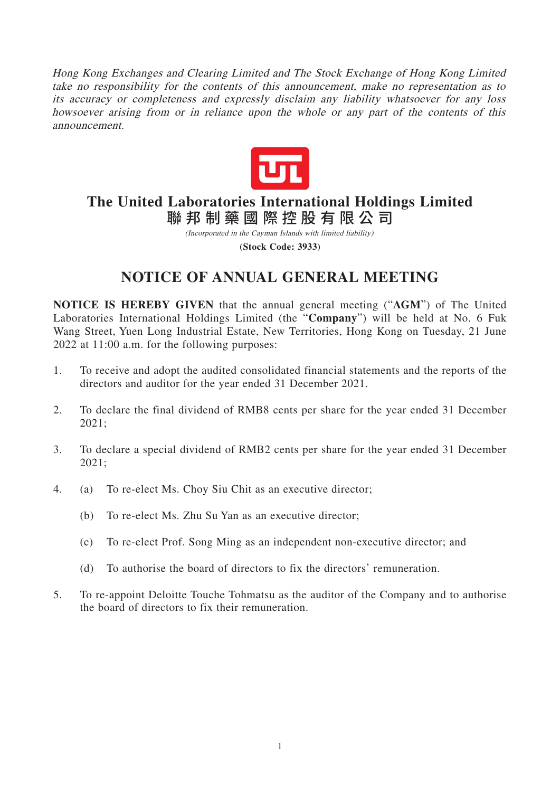Hong Kong Exchanges and Clearing Limited and The Stock Exchange of Hong Kong Limited take no responsibility for the contents of this announcement, make no representation as to its accuracy or completeness and expressly disclaim any liability whatsoever for any loss howsoever arising from or in reliance upon the whole or any part of the contents of this announcement.



# **The United Laboratories International Holdings Limited** 聯邦制藥國際控股有限公 司

(Incorporated in the Cayman Islands with limited liability) **(Stock Code: 3933)**

# **NOTICE OF ANNUAL GENERAL MEETING**

**NOTICE IS HEREBY GIVEN** that the annual general meeting ("**AGM**") of The United Laboratories International Holdings Limited (the "**Company**") will be held at No. 6 Fuk Wang Street, Yuen Long Industrial Estate, New Territories, Hong Kong on Tuesday, 21 June 2022 at 11:00 a.m. for the following purposes:

- 1. To receive and adopt the audited consolidated financial statements and the reports of the directors and auditor for the year ended 31 December 2021.
- 2. To declare the final dividend of RMB8 cents per share for the year ended 31 December 2021;
- 3. To declare a special dividend of RMB2 cents per share for the year ended 31 December 2021;
- 4. (a) To re-elect Ms. Choy Siu Chit as an executive director;
	- (b) To re-elect Ms. Zhu Su Yan as an executive director;
	- (c) To re-elect Prof. Song Ming as an independent non-executive director; and
	- (d) To authorise the board of directors to fix the directors' remuneration.
- 5. To re-appoint Deloitte Touche Tohmatsu as the auditor of the Company and to authorise the board of directors to fix their remuneration.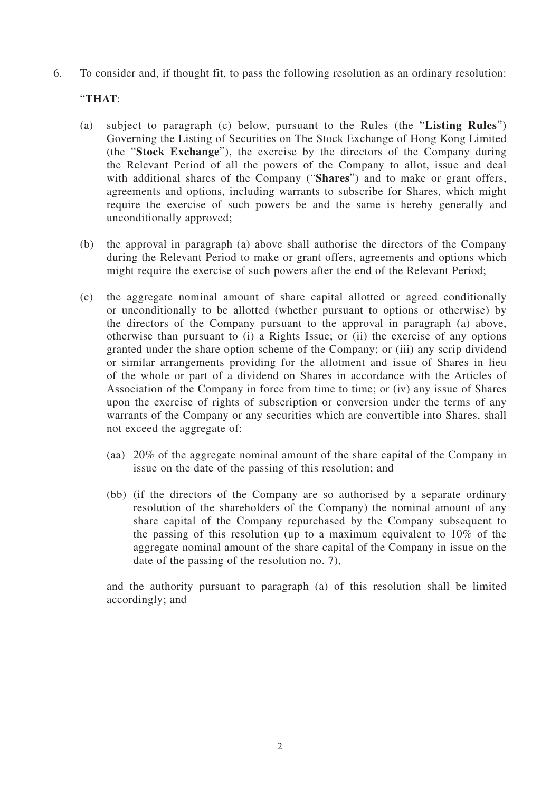6. To consider and, if thought fit, to pass the following resolution as an ordinary resolution:

## "**THAT**:

- (a) subject to paragraph (c) below, pursuant to the Rules (the "**Listing Rules**") Governing the Listing of Securities on The Stock Exchange of Hong Kong Limited (the "**Stock Exchange**"), the exercise by the directors of the Company during the Relevant Period of all the powers of the Company to allot, issue and deal with additional shares of the Company ("**Shares**") and to make or grant offers, agreements and options, including warrants to subscribe for Shares, which might require the exercise of such powers be and the same is hereby generally and unconditionally approved;
- (b) the approval in paragraph (a) above shall authorise the directors of the Company during the Relevant Period to make or grant offers, agreements and options which might require the exercise of such powers after the end of the Relevant Period;
- (c) the aggregate nominal amount of share capital allotted or agreed conditionally or unconditionally to be allotted (whether pursuant to options or otherwise) by the directors of the Company pursuant to the approval in paragraph (a) above, otherwise than pursuant to (i) a Rights Issue; or (ii) the exercise of any options granted under the share option scheme of the Company; or (iii) any scrip dividend or similar arrangements providing for the allotment and issue of Shares in lieu of the whole or part of a dividend on Shares in accordance with the Articles of Association of the Company in force from time to time; or (iv) any issue of Shares upon the exercise of rights of subscription or conversion under the terms of any warrants of the Company or any securities which are convertible into Shares, shall not exceed the aggregate of:
	- (aa) 20% of the aggregate nominal amount of the share capital of the Company in issue on the date of the passing of this resolution; and
	- (bb) (if the directors of the Company are so authorised by a separate ordinary resolution of the shareholders of the Company) the nominal amount of any share capital of the Company repurchased by the Company subsequent to the passing of this resolution (up to a maximum equivalent to 10% of the aggregate nominal amount of the share capital of the Company in issue on the date of the passing of the resolution no. 7),

and the authority pursuant to paragraph (a) of this resolution shall be limited accordingly; and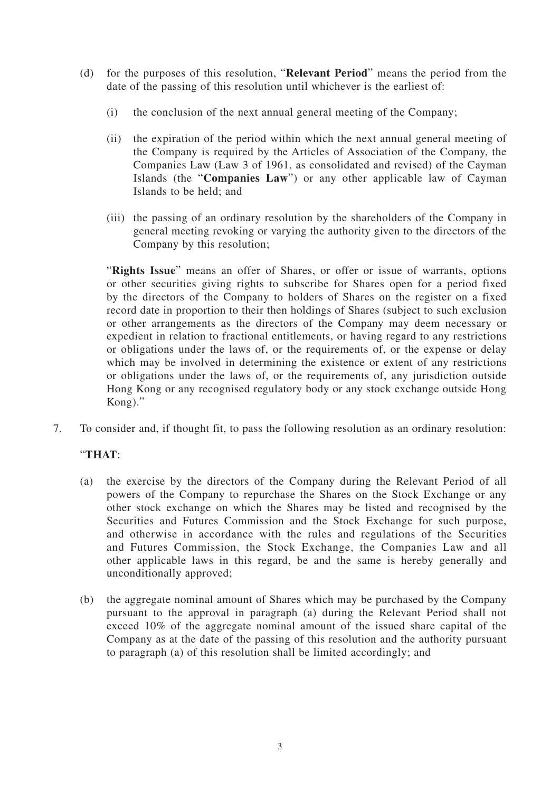- (d) for the purposes of this resolution, "**Relevant Period**" means the period from the date of the passing of this resolution until whichever is the earliest of:
	- (i) the conclusion of the next annual general meeting of the Company;
	- (ii) the expiration of the period within which the next annual general meeting of the Company is required by the Articles of Association of the Company, the Companies Law (Law 3 of 1961, as consolidated and revised) of the Cayman Islands (the "**Companies Law**") or any other applicable law of Cayman Islands to be held; and
	- (iii) the passing of an ordinary resolution by the shareholders of the Company in general meeting revoking or varying the authority given to the directors of the Company by this resolution;

"**Rights Issue**" means an offer of Shares, or offer or issue of warrants, options or other securities giving rights to subscribe for Shares open for a period fixed by the directors of the Company to holders of Shares on the register on a fixed record date in proportion to their then holdings of Shares (subject to such exclusion or other arrangements as the directors of the Company may deem necessary or expedient in relation to fractional entitlements, or having regard to any restrictions or obligations under the laws of, or the requirements of, or the expense or delay which may be involved in determining the existence or extent of any restrictions or obligations under the laws of, or the requirements of, any jurisdiction outside Hong Kong or any recognised regulatory body or any stock exchange outside Hong Kong)."

7. To consider and, if thought fit, to pass the following resolution as an ordinary resolution:

## "**THAT**:

- (a) the exercise by the directors of the Company during the Relevant Period of all powers of the Company to repurchase the Shares on the Stock Exchange or any other stock exchange on which the Shares may be listed and recognised by the Securities and Futures Commission and the Stock Exchange for such purpose, and otherwise in accordance with the rules and regulations of the Securities and Futures Commission, the Stock Exchange, the Companies Law and all other applicable laws in this regard, be and the same is hereby generally and unconditionally approved;
- (b) the aggregate nominal amount of Shares which may be purchased by the Company pursuant to the approval in paragraph (a) during the Relevant Period shall not exceed 10% of the aggregate nominal amount of the issued share capital of the Company as at the date of the passing of this resolution and the authority pursuant to paragraph (a) of this resolution shall be limited accordingly; and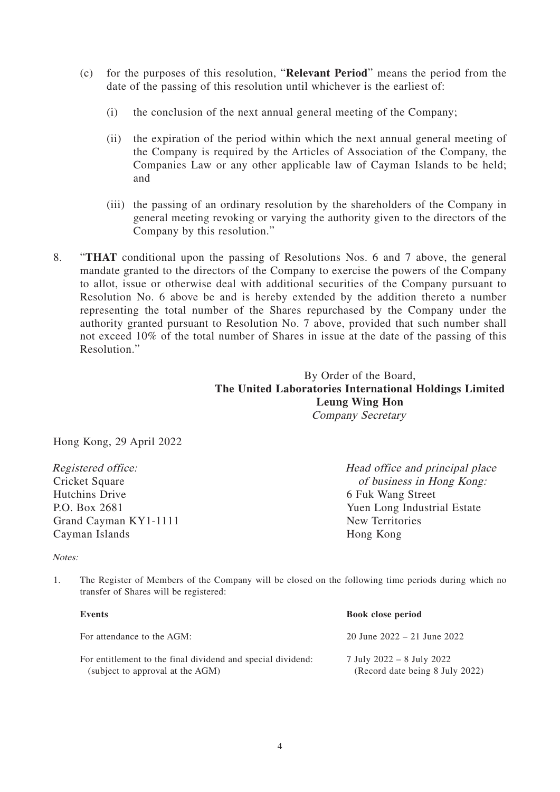- (c) for the purposes of this resolution, "**Relevant Period**" means the period from the date of the passing of this resolution until whichever is the earliest of:
	- (i) the conclusion of the next annual general meeting of the Company;
	- (ii) the expiration of the period within which the next annual general meeting of the Company is required by the Articles of Association of the Company, the Companies Law or any other applicable law of Cayman Islands to be held; and
	- (iii) the passing of an ordinary resolution by the shareholders of the Company in general meeting revoking or varying the authority given to the directors of the Company by this resolution."
- 8. "**THAT** conditional upon the passing of Resolutions Nos. 6 and 7 above, the general mandate granted to the directors of the Company to exercise the powers of the Company to allot, issue or otherwise deal with additional securities of the Company pursuant to Resolution No. 6 above be and is hereby extended by the addition thereto a number representing the total number of the Shares repurchased by the Company under the authority granted pursuant to Resolution No. 7 above, provided that such number shall not exceed 10% of the total number of Shares in issue at the date of the passing of this Resolution."

## By Order of the Board, **The United Laboratories International Holdings Limited Leung Wing Hon** Company Secretary

Hong Kong, 29 April 2022

Registered office: Cricket Square Hutchins Drive P.O. Box 2681 Grand Cayman KY1-1111 Cayman Islands

Head office and principal place of business in Hong Kong: 6 Fuk Wang Street Yuen Long Industrial Estate New Territories Hong Kong

#### Notes:

1. The Register of Members of the Company will be closed on the following time periods during which no transfer of Shares will be registered:

| Events                                                                                          | <b>Book close period</b>                                     |
|-------------------------------------------------------------------------------------------------|--------------------------------------------------------------|
| For attendance to the AGM:                                                                      | 20 June $2022 - 21$ June $2022$                              |
| For entitlement to the final dividend and special dividend:<br>(subject to approval at the AGM) | 7 July 2022 – 8 July 2022<br>(Record date being 8 July 2022) |